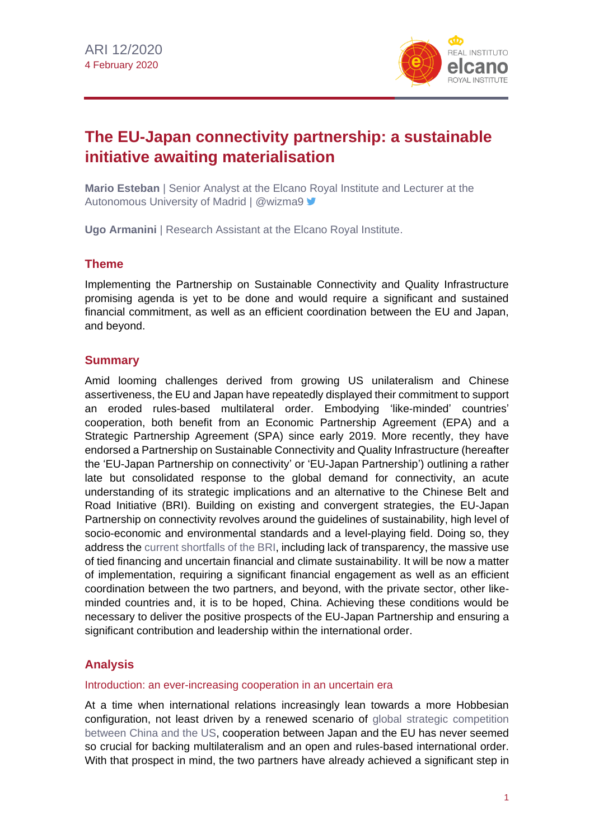

# **The EU-Japan connectivity partnership: a sustainable initiative awaiting materialisation**

**Mario Esteban** | Senior Analyst at the Elcano Royal Institute and Lecturer at the Autonomous University of Madrid | @wizma9

**Ugo Armanini** | Research Assistant at the Elcano Royal Institute.

#### **Theme**

Implementing the Partnership on Sustainable Connectivity and Quality Infrastructure promising agenda is yet to be done and would require a significant and sustained financial commitment, as well as an efficient coordination between the EU and Japan, and beyond.

#### **Summary**

Amid looming challenges derived from growing US unilateralism and Chinese assertiveness, the EU and Japan have repeatedly displayed their commitment to support an eroded rules-based multilateral order. Embodying 'like-minded' countries' cooperation, both benefit from an Economic Partnership Agreement (EPA) and a Strategic Partnership Agreement (SPA) since early 2019. More recently, they have endorsed a Partnership on Sustainable Connectivity and Quality Infrastructure (hereafter the 'EU-Japan Partnership on connectivity' or 'EU-Japan Partnership') outlining a rather late but consolidated response to the global demand for connectivity, an acute understanding of its strategic implications and an alternative to the Chinese Belt and Road Initiative (BRI). Building on existing and convergent strategies, the EU-Japan Partnership on connectivity revolves around the guidelines of sustainability, high level of socio-economic and environmental standards and a level-playing field. Doing so, they address the [current shortfalls of the BRI,](http://www.realinstitutoelcano.org/wps/portal/rielcano_en/publication?WCM_GLOBAL_CONTEXT=/elcano/elcano_in/publications/europe-and-chinas-new-silk-roads-en) including lack of transparency, the massive use of tied financing and uncertain financial and climate sustainability. It will be now a matter of implementation, requiring a significant financial engagement as well as an efficient coordination between the two partners, and beyond, with the private sector, other likeminded countries and, it is to be hoped, China. Achieving these conditions would be necessary to deliver the positive prospects of the EU-Japan Partnership and ensuring a significant contribution and leadership within the international order.

### **Analysis**

#### Introduction: an ever-increasing cooperation in an uncertain era

At a time when international relations increasingly lean towards a more Hobbesian configuration, not least driven by a renewed scenario of [global strategic competition](http://www.realinstitutoelcano.org/wps/portal/rielcano_en/publication?WCM_GLOBAL_CONTEXT=/elcano/elcano_in/publications/etnc-europe-in-the-face-of-us-china-rivalry) [between China and the US,](http://www.realinstitutoelcano.org/wps/portal/rielcano_en/publication?WCM_GLOBAL_CONTEXT=/elcano/elcano_in/publications/etnc-europe-in-the-face-of-us-china-rivalry) cooperation between Japan and the EU has never seemed so crucial for backing multilateralism and an open and rules-based international order. With that prospect in mind, the two partners have already achieved a significant step in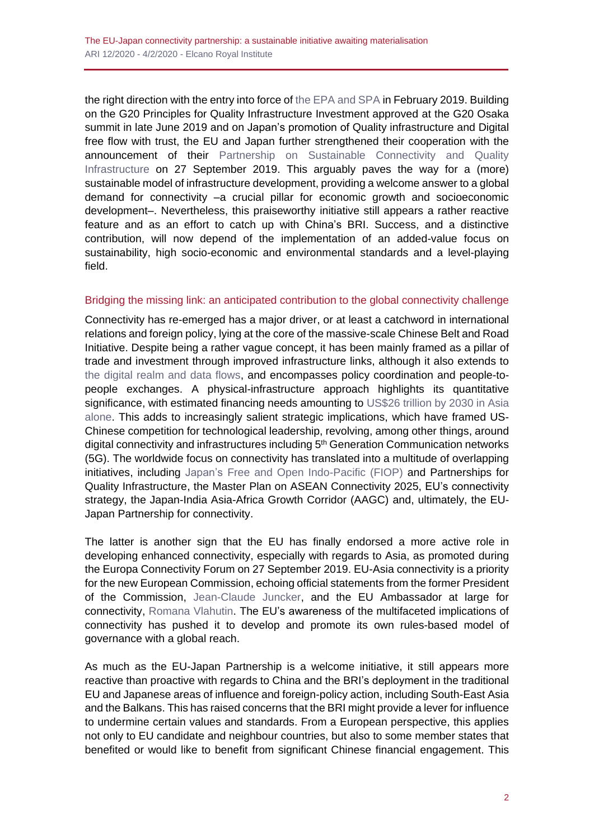the right direction with the entry into force of the [EPA and SPA](http://www.realinstitutoelcano.org/wps/portal/rielcano_en/contenido?WCM_GLOBAL_CONTEXT=/elcano/elcano_in/zonas_in/asia-pacific/commentary-goyyamamoto-eu-japan-epa-and-spa-more-than-partnership-necessary-turning-point-for-both) in February 2019. Building on the G20 Principles for Quality Infrastructure Investment approved at the G20 Osaka summit in late June 2019 and on Japan's promotion of Quality infrastructure and Digital free flow with trust, the EU and Japan further strengthened their cooperation with the announcement of their [Partnership on Sustainable Connectivity and Quality](https://www.mofa.go.jp/files/000521432.pdf)  [Infrastructure](https://www.mofa.go.jp/files/000521432.pdf) on 27 September 2019. This arguably paves the way for a (more) sustainable model of infrastructure development, providing a welcome answer to a global demand for connectivity –a crucial pillar for economic growth and socioeconomic development–. Nevertheless, this praiseworthy initiative still appears a rather reactive feature and as an effort to catch up with China's BRI. Success, and a distinctive contribution, will now depend of the implementation of an added-value focus on sustainability, high socio-economic and environmental standards and a level-playing field.

#### Bridging the missing link: an anticipated contribution to the global connectivity challenge

Connectivity has re-emerged has a major driver, or at least a catchword in international relations and foreign policy, lying at the core of the massive-scale Chinese Belt and Road Initiative. Despite being a rather vague concept, it has been mainly framed as a pillar of trade and investment through improved infrastructure links, although it also extends to [the digital realm and data flows,](http://www.realinstitutoelcano.org/wps/portal/rielcano_en/contenido?WCM_GLOBAL_CONTEXT=/elcano/elcano_in/zonas_in/ari11-2020-gascon-society-5-0-eu-japanese-cooperation-and-opportunities-and-challenges-posed-by-data-economy) and encompasses policy coordination and people-topeople exchanges. A physical-infrastructure approach highlights its quantitative significance, with estimated financing needs amounting to [US\\$26 trillion by 2030 in Asia](https://www.adb.org/publications/asia-infrastructure-needs) [alone.](https://www.adb.org/publications/asia-infrastructure-needs) This adds to increasingly salient strategic implications, which have framed US-Chinese competition for technological leadership, revolving, among other things, around digital connectivity and infrastructures including 5<sup>th</sup> Generation Communication networks (5G). The worldwide focus on connectivity has translated into a multitude of overlapping initiatives, including Japan's [Free and Open Indo-Pacific \(FIOP\)](http://www.realinstitutoelcano.org/wps/portal/rielcano_en/contenido?WCM_GLOBAL_CONTEXT=/elcano/elcano_in/zonas_in/ari34-2019-berkofsky-tokyos-free-and-open-indo-pacific-quality-infrastructure-defence-fore) and Partnerships for Quality Infrastructure, the Master Plan on ASEAN Connectivity 2025, EU's connectivity strategy, the Japan-India Asia-Africa Growth Corridor (AAGC) and, ultimately, the EU-Japan Partnership for connectivity.

The latter is another sign that the EU has finally endorsed a more active role in developing enhanced connectivity, especially with regards to Asia, as promoted during the Europa Connectivity Forum on 27 September 2019. EU-Asia connectivity is a priority for the new European Commission, echoing official statements from the former President of the Commission, [Jean-Claude Juncker,](https://ec.europa.eu/commission/presscorner/detail/fr/SPEECH_19_5909) and the EU Ambassador at large for connectivity, [Romana Vlahutin.](https://www.belfercenter.org/publication/ambassador-romana-vlahutin-eus-connectivity-strategy) The EU's awareness of the multifaceted implications of connectivity has pushed it to develop and promote its own rules-based model of governance with a global reach.

As much as the EU-Japan Partnership is a welcome initiative, it still appears more reactive than proactive with regards to China and the BRI's deployment in the traditional EU and Japanese areas of influence and foreign-policy action, including South-East Asia and the Balkans. This has raised concerns that the BRI might provide a lever for influence to undermine certain values and standards. From a European perspective, this applies not only to EU candidate and neighbour countries, but also to some member states that benefited or would like to benefit from significant Chinese financial engagement. This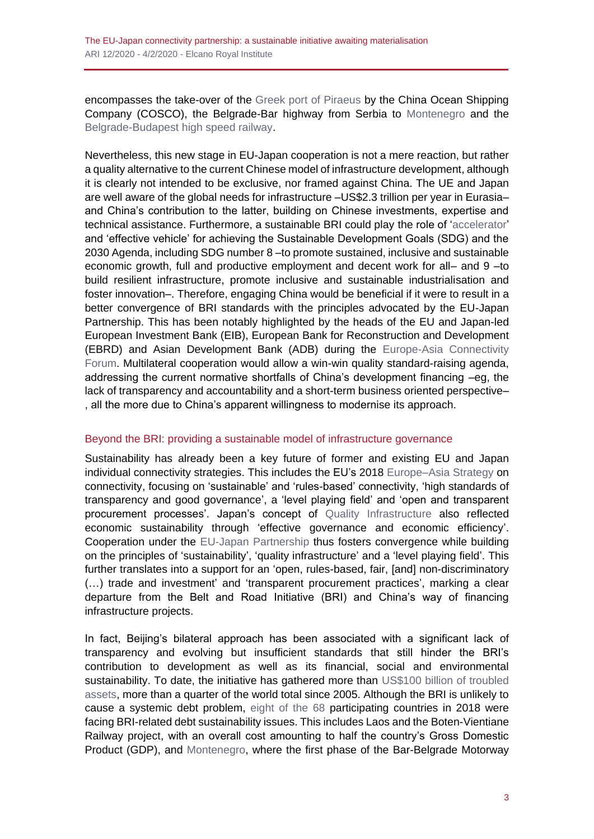encompasses the take-over of the [Greek port of Piraeus](https://www.lki.lk/publication/takeaways-plamen-tonchev-on-chinese-investments-in-europe-and-greece-lessons-for-south-asia/) by the China Ocean Shipping Company (COSCO), the Belgrade-Bar highway from Serbia to [Montenegro](https://berlinpolicyjournal.com/a-road-that-divides-as-much-as-it-connects/) and the [Belgrade-Budapest](http://www.eias.org/wp-content/uploads/2019/07/EIAS-Briefing-Paper-The-BRI-in-Europe-and-the-Budapest-Belgrade-Railway-Link-Final.pdf) high speed railway.

Nevertheless, this new stage in EU-Japan cooperation is not a mere reaction, but rather a quality alternative to the current Chinese model of infrastructure development, although it is clearly not intended to be exclusive, nor framed against China. The UE and Japan are well aware of the global needs for infrastructure –US\$2.3 trillion per year in Eurasia– and China's contribution to the latter, building on Chinese investments, expertise and technical assistance. Furthermore, a sustainable BRI could play the role of ['accelerator'](https://www.undp.org/content/dam/china/docs/Publications/UNDP-CH-GGR%202017.pdf) and 'effective vehicle' for achieving the Sustainable Development Goals (SDG) and the 2030 Agenda, including SDG number 8 –to promote sustained, inclusive and sustainable economic growth, full and productive employment and decent work for all– and 9 –to build resilient infrastructure, promote inclusive and sustainable industrialisation and foster innovation–. Therefore, engaging China would be beneficial if it were to result in a better convergence of BRI standards with the principles advocated by the EU-Japan Partnership. This has been notably highlighted by the heads of the EU and Japan-led European Investment Bank (EIB), European Bank for Reconstruction and Development (EBRD) and Asian Development Bank (ADB) during the [Europe-Asia Connectivity](https://webcast.ec.europa.eu/eu-asia-connectivity-forum-27-09-19)  [Forum.](https://webcast.ec.europa.eu/eu-asia-connectivity-forum-27-09-19) Multilateral cooperation would allow a win-win quality standard-raising agenda, addressing the current normative shortfalls of China's development financing –eg, the lack of transparency and accountability and a short-term business oriented perspective– , all the more due to China's apparent willingness to modernise its approach.

### Beyond the BRI: providing a sustainable model of infrastructure governance

Sustainability has already been a key future of former and existing EU and Japan individual connectivity strategies. This includes the EU's 2018 [Europe–Asia Strategy](https://eeas.europa.eu/sites/eeas/files/joint_communication_-_connecting_europe_and_asia_-_building_blocks_for_an_eu_strategy_2018-09-19.pdf) on connectivity, focusing on 'sustainable' and 'rules-based' connectivity, 'high standards of transparency and good governance', a 'level playing field' and 'open and transparent procurement processes'. Japan's concept of [Quality Infrastructure](https://www.mofa.go.jp/files/000196472.pdf) also reflected economic sustainability through 'effective governance and economic efficiency'. Cooperation under the [EU-Japan Partnership](https://eeas.europa.eu/regions/africa/68018/partnership-sustainable-connectivity-and-quality-infrastructure-between-european-union-and_en) thus fosters convergence while building on the principles of 'sustainability', 'quality infrastructure' and a 'level playing field'. This further translates into a support for an 'open, rules-based, fair, [and] non-discriminatory (…) trade and investment' and 'transparent procurement practices', marking a clear departure from the Belt and Road Initiative (BRI) and China's way of financing infrastructure projects.

In fact, Beijing's bilateral approach has been associated with a significant lack of transparency and evolving but insufficient standards that still hinder the BRI's contribution to development as well as its financial, social and environmental sustainability. To date, the initiative has gathered more than US\$100 billion of troubled [assets,](https://www.oecd.org/finance/Chinas-Belt-and-Road-Initiative-in-the-global-trade-investment-and-finance-landscape.pdf) more than a quarter of the world total since 2005. Although the BRI is unlikely to cause a systemic debt problem, [eight of the 68](https://www.cgdev.org/sites/default/files/examining-debt-implications-belt-and-road-initiative-policy-perspective.pdf) participating countries in 2018 were facing BRI-related debt sustainability issues. This includes Laos and the Boten-Vientiane Railway project, with an overall cost amounting to half the country's Gross Domestic Product (GDP), and [Montenegro,](https://www.imf.org/~/media/Files/Publications/CR/2019/1MNEEA2019003.ashx) where the first phase of the Bar-Belgrade Motorway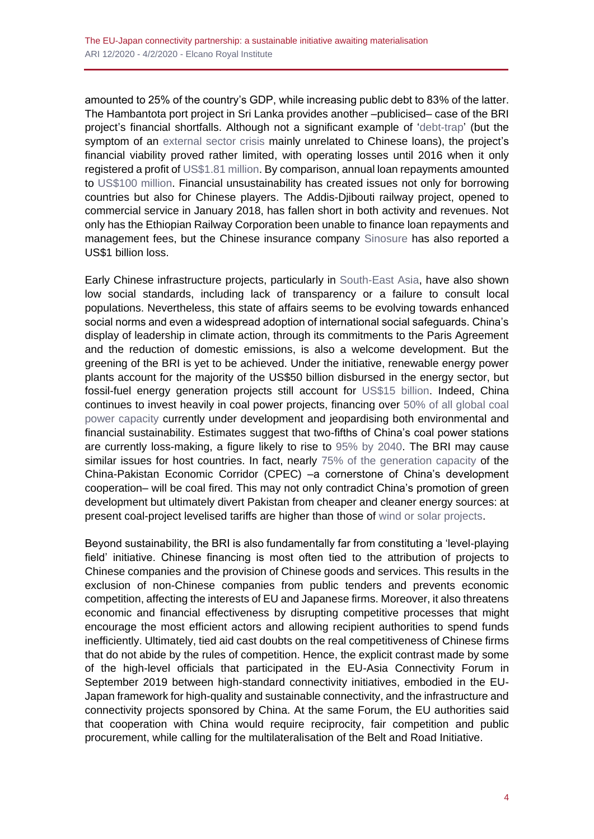amounted to 25% of the country's GDP, while increasing public debt to 83% of the latter. The Hambantota port project in Sri Lanka provides another –publicised– case of the BRI project's financial shortfalls. Although not a significant example of ['debt-trap'](https://thediplomat.com/2020/01/the-hambantota-port-deal-myths-and-realities/) (but the symptom of an [external sector crisis](https://www.eastasiaforum.org/2019/02/28/sri-lankas-debt-problem-isnt-made-in-china/) mainly unrelated to Chinese loans), the project's financial viability proved rather limited, with operating losses until 2016 when it only registered a profit of [US\\$1.81 million.](https://www.seatrade-maritime.com/opinions-analysis/hambantota-international-port-better-china) By comparison, annual loan repayments amounted to [US\\$100 million.](https://thediplomat.com/2020/01/the-hambantota-port-deal-myths-and-realities/) Financial unsustainability has created issues not only for borrowing countries but also for Chinese players. The Addis-Djibouti railway project, opened to commercial service in January 2018, has fallen short in both activity and revenues. Not only has the Ethiopian Railway Corporation been unable to finance loan repayments and management fees, but the Chinese insurance company [Sinosure](https://qz.com/africa/1634659/ethiopia-kenya-struggle-with-chinese-debt-over-sgr-railways/) has also reported a US\$1 billion loss.

Early Chinese infrastructure projects, particularly in [South-East Asia,](https://www.sciencedirect.com/science/article/pii/S0301421516307212) have also shown low social standards, including lack of transparency or a failure to consult local populations. Nevertheless, this state of affairs seems to be evolving towards enhanced social norms and even a widespread adoption of international social safeguards. China's display of leadership in climate action, through its commitments to the Paris Agreement and the reduction of domestic emissions, is also a welcome development. But the greening of the BRI is yet to be achieved. Under the initiative, renewable energy power plants account for the majority of the US\$50 billion disbursed in the energy sector, but fossil-fuel energy generation projects still account for [US\\$15 billion.](https://www.merics.org/en/bri-tracker/powering-the-belt-and-road) Indeed, China continues to invest heavily in coal power projects, financing over [50% of all global coal](https://endcoal.org/wp-content/uploads/2019/03/BoomAndBust_2019_r6.pdf)  [power capacity](https://endcoal.org/wp-content/uploads/2019/03/BoomAndBust_2019_r6.pdf) currently under development and jeopardising both environmental and financial sustainability. Estimates suggest that two-fifths of China's coal power stations are currently loss-making, a figure likely to rise to [95% by 2040.](https://www.carbontracker.org/40-of-chinas-coal-power-stations-are-losing-money/) The BRI may cause similar issues for host countries. In fact, nearly [75% of the generation capacity](https://energypolicy.columbia.edu/sites/default/files/pictures/China-Pakistan_CGEP_Report_100219-2.pdf) of the China-Pakistan Economic Corridor (CPEC) –a cornerstone of China's development cooperation– will be coal fired. This may not only contradict China's promotion of green development but ultimately divert Pakistan from cheaper and cleaner energy sources: at present coal-project levelised tariffs are higher than those of [wind or solar projects.](https://energypolicy.columbia.edu/sites/default/files/pictures/China-Pakistan_CGEP_Report_100219-2.pdf)

Beyond sustainability, the BRI is also fundamentally far from constituting a 'level-playing field' initiative. Chinese financing is most often tied to the attribution of projects to Chinese companies and the provision of Chinese goods and services. This results in the exclusion of non-Chinese companies from public tenders and prevents economic competition, affecting the interests of EU and Japanese firms. Moreover, it also threatens economic and financial effectiveness by disrupting competitive processes that might encourage the most efficient actors and allowing recipient authorities to spend funds inefficiently. Ultimately, tied aid cast doubts on the real competitiveness of Chinese firms that do not abide by the rules of competition. Hence, the explicit contrast made by some of the high-level officials that participated in the EU-Asia Connectivity Forum in September 2019 between high-standard connectivity initiatives, embodied in the EU-Japan framework for high-quality and sustainable connectivity, and the infrastructure and connectivity projects sponsored by China. At the same Forum, the EU authorities said that cooperation with China would require reciprocity, fair competition and public procurement, while calling for the multilateralisation of the Belt and Road Initiative.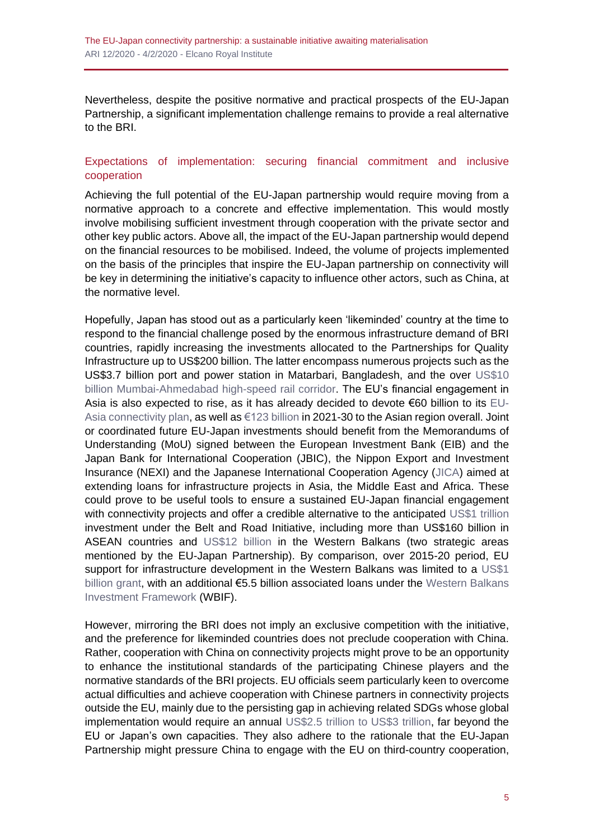Nevertheless, despite the positive normative and practical prospects of the EU-Japan Partnership, a significant implementation challenge remains to provide a real alternative to the BRI.

#### Expectations of implementation: securing financial commitment and inclusive cooperation

Achieving the full potential of the EU-Japan partnership would require moving from a normative approach to a concrete and effective implementation. This would mostly involve mobilising sufficient investment through cooperation with the private sector and other key public actors. Above all, the impact of the EU-Japan partnership would depend on the financial resources to be mobilised. Indeed, the volume of projects implemented on the basis of the principles that inspire the EU-Japan partnership on connectivity will be key in determining the initiative's capacity to influence other actors, such as China, at the normative level.

Hopefully, Japan has stood out as a particularly keen 'likeminded' country at the time to respond to the financial challenge posed by the enormous infrastructure demand of BRI countries, rapidly increasing the investments allocated to the Partnerships for Quality Infrastructure up to US\$200 billion. The latter encompass numerous projects such as the US\$3.7 billion port and power station in Matarbari, Bangladesh, and the over [US\\$10](http://www.realinstitutoelcano.org/wps/portal/rielcano_en/contenido?WCM_GLOBAL_CONTEXT=/elcano/elcano_in/zonas_in/ari34-2019-berkofsky-tokyos-free-and-open-indo-pacific-quality-infrastructure-defence-fore)  [billion Mumbai-Ahmedabad high-speed rail corridor.](http://www.realinstitutoelcano.org/wps/portal/rielcano_en/contenido?WCM_GLOBAL_CONTEXT=/elcano/elcano_in/zonas_in/ari34-2019-berkofsky-tokyos-free-and-open-indo-pacific-quality-infrastructure-defence-fore) The EU's financial engagement in Asia is also expected to rise, as it has already decided to devote €60 billion to its [EU-](https://www.reuters.com/article/us-eu-japan/in-counterweight-to-china-eu-japan-sign-deal-to-link-asia-idUSKBN1WC0U3)[Asia connectivity plan,](https://www.reuters.com/article/us-eu-japan/in-counterweight-to-china-eu-japan-sign-deal-to-link-asia-idUSKBN1WC0U3) as well as [€123 billion](http://isdp.eu/content/uploads/2018/12/Managing-Connectivity-Conflict-Print-V-wcover-1.pdf) in 2021-30 to the Asian region overall. Joint or coordinated future EU-Japan investments should benefit from the Memorandums of Understanding (MoU) signed between the European Investment Bank (EIB) and the Japan Bank for International Cooperation (JBIC), the Nippon Export and Investment Insurance (NEXI) and the Japanese International Cooperation Agency [\(JICA\)](https://www.eib.org/en/press/news/eib-expands-partnership-with-japan) aimed at extending loans for infrastructure projects in Asia, the Middle East and Africa. These could prove to be useful tools to ensure a sustained EU-Japan financial engagement with connectivity projects and offer a credible alternative to the anticipated [US\\$1](https://www.oecd.org/finance/Chinas-Belt-and-Road-Initiative-in-the-global-trade-investment-and-finance-landscape.pdf) trillion investment under the Belt and Road Initiative, including more than US\$160 billion in ASEAN countries and [US\\$12 billion](https://www.aei.org/china-global-investment-tracker/) in the Western Balkans (two strategic areas mentioned by the EU-Japan Partnership). By comparison, over 2015-20 period, EU support for infrastructure development in the Western Balkans was limited to a [US\\$1](https://www.eib.org/attachments/efs/infrastructure_investment_in_the_western_balkans_en.pdf) [billion grant,](https://www.eib.org/attachments/efs/infrastructure_investment_in_the_western_balkans_en.pdf) with an additional €5.5 billion associated loans under the Western Balkans [Investment Framework](https://www.ebrd.com/news/2019/ebrd-eu-and-bilateral-donors-step-up-support-for-infrastructure-projects.html) (WBIF).

However, mirroring the BRI does not imply an exclusive competition with the initiative, and the preference for likeminded countries does not preclude cooperation with China. Rather, cooperation with China on connectivity projects might prove to be an opportunity to enhance the institutional standards of the participating Chinese players and the normative standards of the BRI projects. EU officials seem particularly keen to overcome actual difficulties and achieve cooperation with Chinese partners in connectivity projects outside the EU, mainly due to the persisting gap in achieving related SDGs whose global implementation would require an annual US\$2.5 [trillion to US\\$3 trillion,](https://www.un.org/sustainabledevelopment/sg-finance-strategy/) far beyond the EU or Japan's own capacities. They also adhere to the rationale that the EU-Japan Partnership might pressure China to engage with the EU on third-country cooperation,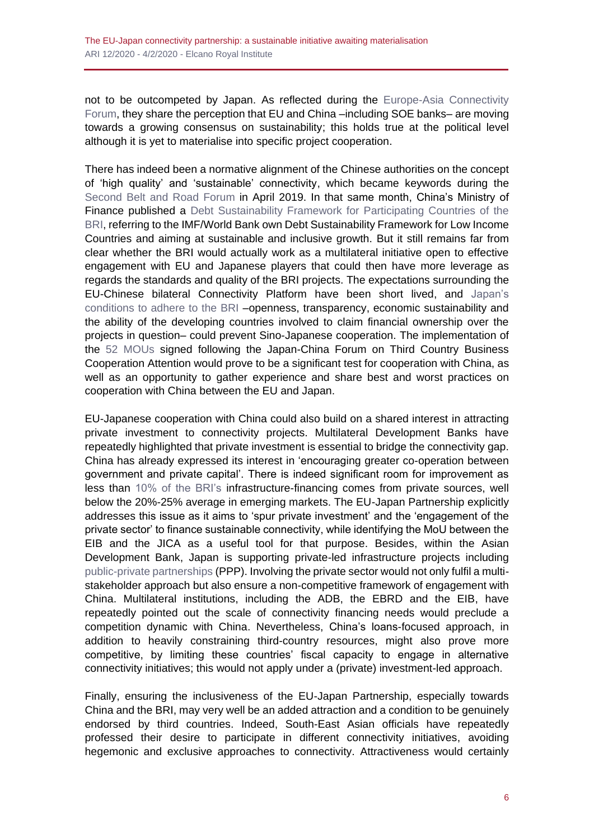not to be outcompeted by Japan. As reflected during the [Europe-Asia Connectivity](https://webcast.ec.europa.eu/eu-asia-connectivity-forum-27-09-19)  [Forum,](https://webcast.ec.europa.eu/eu-asia-connectivity-forum-27-09-19) they share the perception that EU and China –including SOE banks– are moving towards a growing consensus on sustainability; this holds true at the political level although it is yet to materialise into specific project cooperation.

There has indeed been a normative alignment of the Chinese authorities on the concept of 'high quality' and 'sustainable' connectivity, which became keywords during the Second [Belt and Road](http://www2.jiia.or.jp/en_commentary/201907/18-1.html) Forum in April 2019. In that same month, China's Ministry of Finance published a [Debt Sustainability Framework for Participating Countries of the](http://m.mof.gov.cn/czxw/201904/P020190425513990982189.pdf)  [BRI,](http://m.mof.gov.cn/czxw/201904/P020190425513990982189.pdf) referring to the IMF/World Bank own Debt Sustainability Framework for Low Income Countries and aiming at sustainable and inclusive growth. But it still remains far from clear whether the BRI would actually work as a multilateral initiative open to effective engagement with EU and Japanese players that could then have more leverage as regards the standards and quality of the BRI projects. The expectations surrounding the EU-Chinese bilateral Connectivity Platform have been short lived, and [Japan's](http://www.realinstitutoelcano.org/wps/portal/rielcano_en/contenido?WCM_GLOBAL_CONTEXT=/elcano/elcano_in/zonas_in/ari34-2019-berkofsky-tokyos-free-and-open-indo-pacific-quality-infrastructure-defence-fore)  [conditions to adhere to the BRI](http://www.realinstitutoelcano.org/wps/portal/rielcano_en/contenido?WCM_GLOBAL_CONTEXT=/elcano/elcano_in/zonas_in/ari34-2019-berkofsky-tokyos-free-and-open-indo-pacific-quality-infrastructure-defence-fore) –openness, transparency, economic sustainability and the ability of the developing countries involved to claim financial ownership over the projects in question– could prevent Sino-Japanese cooperation. The implementation of the [52 MOUs](https://www.mofa.go.jp/a_o/c_m1/cn/page3e_000958.html) signed following the Japan-China Forum on Third Country Business Cooperation Attention would prove to be a significant test for cooperation with China, as well as an opportunity to gather experience and share best and worst practices on cooperation with China between the EU and Japan.

EU-Japanese cooperation with China could also build on a shared interest in attracting private investment to connectivity projects. Multilateral Development Banks have repeatedly highlighted that private investment is essential to bridge the connectivity gap. China has already expressed its interest in 'encouraging greater co-operation between government and private capital'. There is indeed significant room for improvement as less than [10% of the BRI's](http://www.lse.ac.uk/ideas/Assets/Documents/reports/LSE-IDEAS-China-SEA-BRI.pdf) infrastructure-financing comes from private sources, well below the 20%-25% average in emerging markets. The EU-Japan Partnership explicitly addresses this issue as it aims to 'spur private investment' and the 'engagement of the private sector' to finance sustainable connectivity, while identifying the MoU between the EIB and the JICA as a useful tool for that purpose. Besides, within the Asian Development Bank, Japan is supporting private-led infrastructure projects including [public-private partnerships](https://www.adb.org/news/japan-canada-and-australia-provide-64-million-adb-s-ppp-preparation-facility) (PPP). Involving the private sector would not only fulfil a multistakeholder approach but also ensure a non-competitive framework of engagement with China. Multilateral institutions, including the ADB, the EBRD and the EIB, have repeatedly pointed out the scale of connectivity financing needs would preclude a competition dynamic with China. Nevertheless, China's loans-focused approach, in addition to heavily constraining third-country resources, might also prove more competitive, by limiting these countries' fiscal capacity to engage in alternative connectivity initiatives; this would not apply under a (private) investment-led approach.

Finally, ensuring the inclusiveness of the EU-Japan Partnership, especially towards China and the BRI, may very well be an added attraction and a condition to be genuinely endorsed by third countries. Indeed, South-East Asian officials have repeatedly professed their desire to participate in different connectivity initiatives, avoiding hegemonic and exclusive approaches to connectivity. Attractiveness would certainly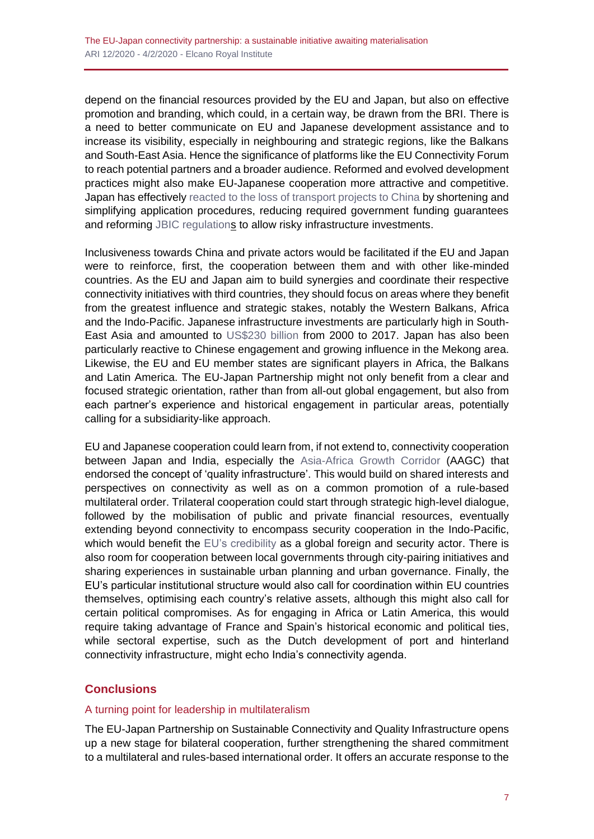depend on the financial resources provided by the EU and Japan, but also on effective promotion and branding, which could, in a certain way, be drawn from the BRI. There is a need to better communicate on EU and Japanese development assistance and to increase its visibility, especially in neighbouring and strategic regions, like the Balkans and South-East Asia. Hence the significance of platforms like the EU Connectivity Forum to reach potential partners and a broader audience. Reformed and evolved development practices might also make EU-Japanese cooperation more attractive and competitive. Japan has effectively reacted [to the loss of transport projects to China](https://www.researchgate.net/publication/326196587_Japan) by shortening and simplifying application procedures, reducing required government funding guarantees and reforming [JBIC regulations](https://www.jbic.go.jp/en/information/news/news-2016/0511-48128.html) to allow risky infrastructure investments.

Inclusiveness towards China and private actors would be facilitated if the EU and Japan were to reinforce, first, the cooperation between them and with other like-minded countries. As the EU and Japan aim to build synergies and coordinate their respective connectivity initiatives with third countries, they should focus on areas where they benefit from the greatest influence and strategic stakes, notably the Western Balkans, Africa and the Indo-Pacific. Japanese infrastructure investments are particularly high in South-East Asia and amounted to [US\\$230 billion](https://www.ispionline.it/sites/default/files/pubblicazioni/indo-pacific_web.def_.pdf#page=97) from 2000 to 2017. Japan has also been particularly reactive to Chinese engagement and growing influence in the Mekong area. Likewise, the EU and EU member states are significant players in Africa, the Balkans and Latin America. The EU-Japan Partnership might not only benefit from a clear and focused strategic orientation, rather than from all-out global engagement, but also from each partner's experience and historical engagement in particular areas, potentially calling for a subsidiarity-like approach.

EU and Japanese cooperation could learn from, if not extend to, connectivity cooperation between Japan and India, especially the [Asia-Africa Growth Corridor](http://isdp.eu/content/uploads/2018/12/Managing-Connectivity-Conflict-Print-V-wcover-1.pdf) (AAGC) that endorsed the concept of 'quality infrastructure'. This would build on shared interests and perspectives on connectivity as well as on a common promotion of a rule-based multilateral order. Trilateral cooperation could start through strategic high-level dialogue, followed by the mobilisation of public and private financial resources, eventually extending beyond connectivity to encompass security cooperation in the Indo-Pacific, which would benefit the [EU's credibility](http://www.realinstitutoelcano.org/wps/portal/rielcano_en/contenido?WCM_GLOBAL_CONTEXT=/elcano/elcano_in/zonas_in/ari34-2019-berkofsky-tokyos-free-and-open-indo-pacific-quality-infrastructure-defence-fore) as a global foreign and security actor. There is also room for cooperation between local governments through city-pairing initiatives and sharing experiences in sustainable urban planning and urban governance. Finally, the EU's particular institutional structure would also call for coordination within EU countries themselves, optimising each country's relative assets, although this might also call for certain political compromises. As for engaging in Africa or Latin America, this would require taking advantage of France and Spain's historical economic and political ties, while sectoral expertise, such as the Dutch development of port and hinterland connectivity infrastructure, might echo India's connectivity agenda.

## **Conclusions**

#### A turning point for leadership in multilateralism

The EU-Japan Partnership on Sustainable Connectivity and Quality Infrastructure opens up a new stage for bilateral cooperation, further strengthening the shared commitment to a multilateral and rules-based international order. It offers an accurate response to the